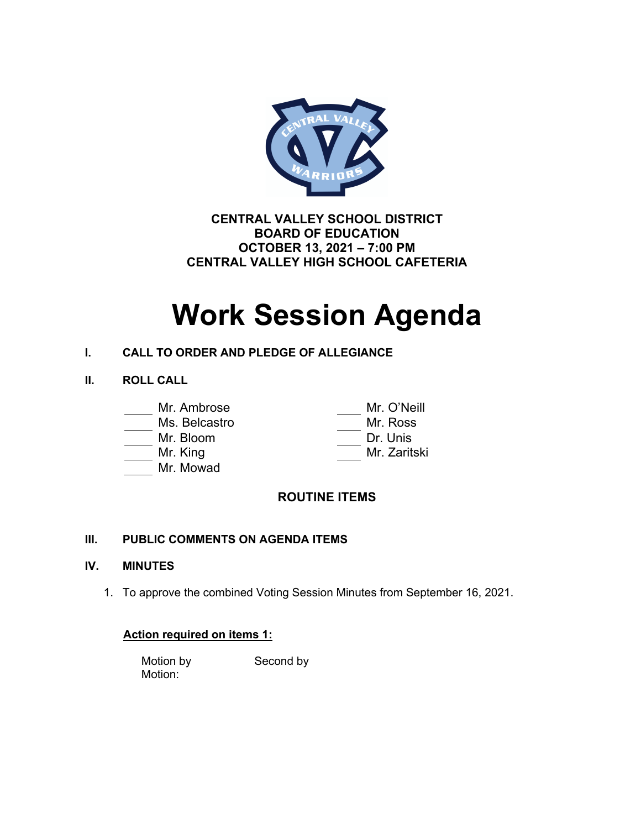

**CENTRAL VALLEY SCHOOL DISTRICT BOARD OF EDUCATION OCTOBER 13, 2021 – 7:00 PM CENTRAL VALLEY HIGH SCHOOL CAFETERIA**

# **Work Session Agenda**

### **I. CALL TO ORDER AND PLEDGE OF ALLEGIANCE**

**II. ROLL CALL**

- Ms. Belcastro
- 
- 
- Mr. Mowad

\_ Mr. O'Neill<br>Mr. Ross Mr. Bloom Dr. Unis Mr. King Mr. Zaritski

## **ROUTINE ITEMS**

### **III. PUBLIC COMMENTS ON AGENDA ITEMS**

### **IV. MINUTES**

1. To approve the combined Voting Session Minutes from September 16, 2021.

### **Action required on items 1:**

Motion by Second by Motion: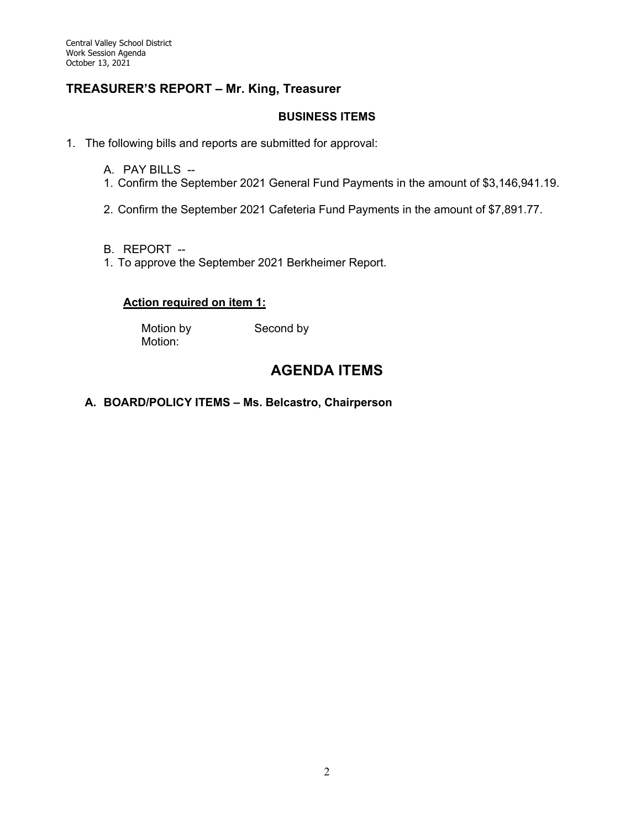### **TREASURER'S REPORT – Mr. King, Treasurer**

### **BUSINESS ITEMS**

1. The following bills and reports are submitted for approval:

- A. PAY BILLS --
- 1. Confirm the September 2021 General Fund Payments in the amount of \$3,146,941.19.
- 2. Confirm the September 2021 Cafeteria Fund Payments in the amount of \$7,891.77.
- B. REPORT --
- 1. To approve the September 2021 Berkheimer Report.

### **Action required on item 1:**

Motion:

Motion by Second by

## **AGENDA ITEMS**

### **A. BOARD/POLICY ITEMS – Ms. Belcastro, Chairperson**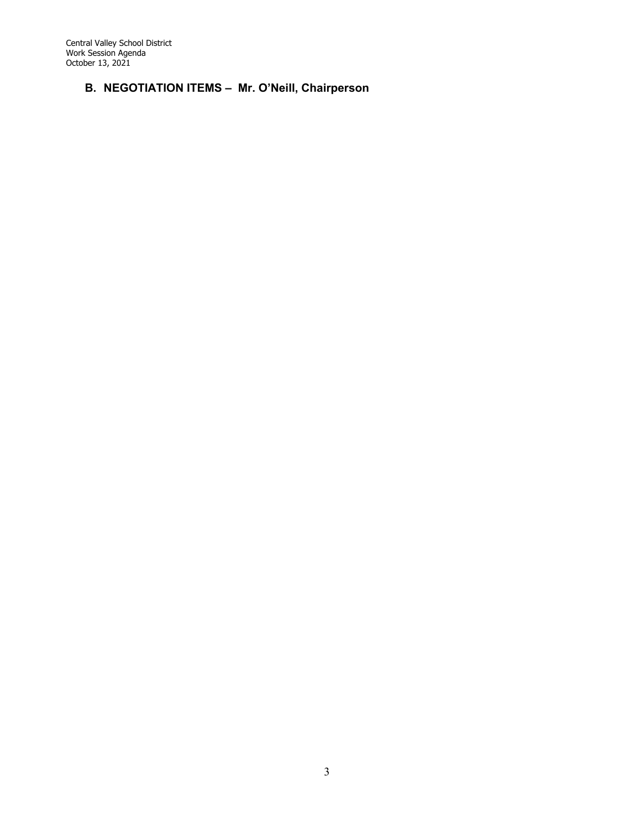### **B. NEGOTIATION ITEMS – Mr. O'Neill, Chairperson**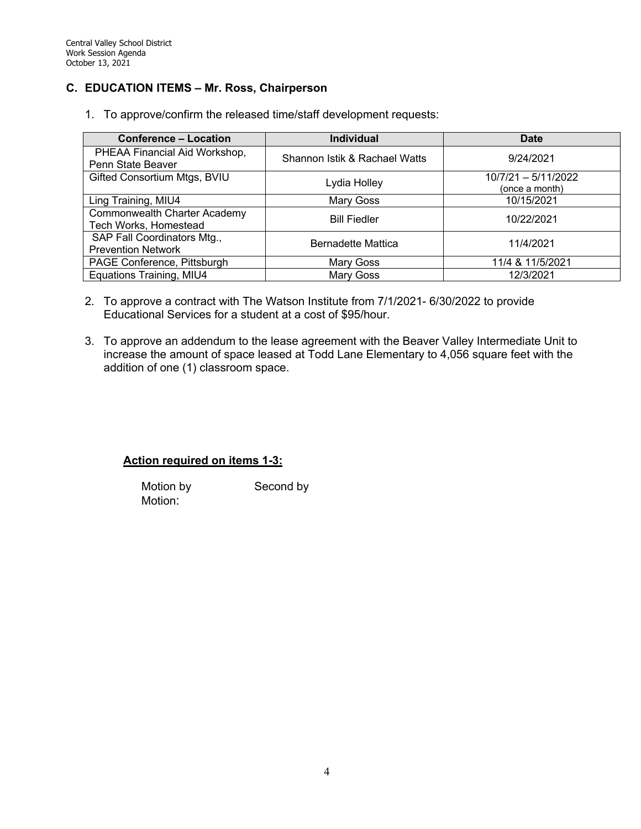### **C. EDUCATION ITEMS – Mr. Ross, Chairperson**

1. To approve/confirm the released time/staff development requests:

| <b>Conference - Location</b>                             | <b>Individual</b>             | <b>Date</b>                           |
|----------------------------------------------------------|-------------------------------|---------------------------------------|
| PHEAA Financial Aid Workshop,<br>Penn State Beaver       | Shannon Istik & Rachael Watts | 9/24/2021                             |
| Gifted Consortium Mtgs, BVIU                             | Lydia Holley                  | 10/7/21 - 5/11/2022<br>(once a month) |
| Ling Training, MIU4                                      | Mary Goss                     | 10/15/2021                            |
| Commonwealth Charter Academy<br>Tech Works, Homestead    | <b>Bill Fiedler</b>           | 10/22/2021                            |
| SAP Fall Coordinators Mtg.,<br><b>Prevention Network</b> | <b>Bernadette Mattica</b>     | 11/4/2021                             |
| PAGE Conference, Pittsburgh                              | Mary Goss                     | 11/4 & 11/5/2021                      |
| Equations Training, MIU4                                 | Mary Goss                     | 12/3/2021                             |

- 2. To approve a contract with The Watson Institute from 7/1/2021- 6/30/2022 to provide Educational Services for a student at a cost of \$95/hour.
- 3. To approve an addendum to the lease agreement with the Beaver Valley Intermediate Unit to increase the amount of space leased at Todd Lane Elementary to 4,056 square feet with the addition of one (1) classroom space.

### **Action required on items 1-3:**

Motion by Second by Motion: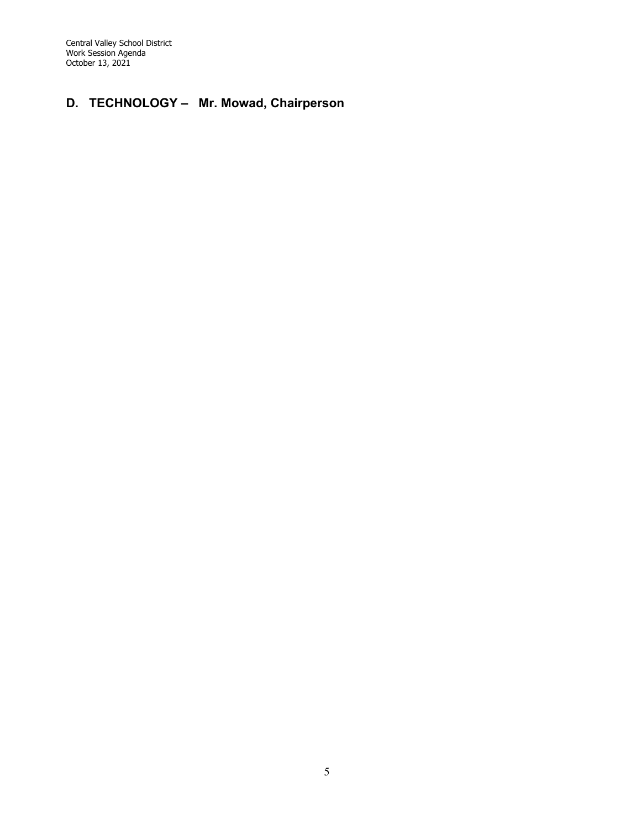# **D. TECHNOLOGY – Mr. Mowad, Chairperson**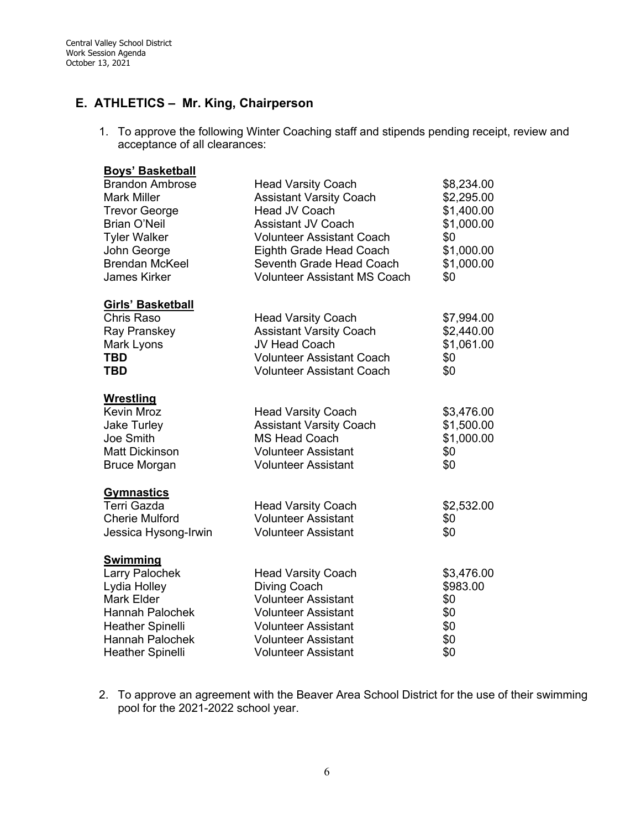### **E. ATHLETICS – Mr. King, Chairperson**

1. To approve the following Winter Coaching staff and stipends pending receipt, review and acceptance of all clearances:

| <b>Boys' Basketball</b>  |                                     |            |
|--------------------------|-------------------------------------|------------|
| <b>Brandon Ambrose</b>   | <b>Head Varsity Coach</b>           | \$8,234.00 |
| <b>Mark Miller</b>       | <b>Assistant Varsity Coach</b>      | \$2,295.00 |
| <b>Trevor George</b>     | Head JV Coach                       | \$1,400.00 |
| <b>Brian O'Neil</b>      | <b>Assistant JV Coach</b>           | \$1,000.00 |
| <b>Tyler Walker</b>      | <b>Volunteer Assistant Coach</b>    | \$0        |
| John George              | Eighth Grade Head Coach             | \$1,000.00 |
| <b>Brendan McKeel</b>    | Seventh Grade Head Coach            | \$1,000.00 |
| <b>James Kirker</b>      | <b>Volunteer Assistant MS Coach</b> | \$0        |
| <b>Girls' Basketball</b> |                                     |            |
| Chris Raso               | <b>Head Varsity Coach</b>           | \$7,994.00 |
| Ray Pranskey             | <b>Assistant Varsity Coach</b>      | \$2,440.00 |
| Mark Lyons               | JV Head Coach                       | \$1,061.00 |
| TBD                      | <b>Volunteer Assistant Coach</b>    | \$0        |
| <b>TBD</b>               | <b>Volunteer Assistant Coach</b>    | \$0        |
| <b>Wrestling</b>         |                                     |            |
| <b>Kevin Mroz</b>        | <b>Head Varsity Coach</b>           | \$3,476.00 |
| <b>Jake Turley</b>       | <b>Assistant Varsity Coach</b>      | \$1,500.00 |
| Joe Smith                | <b>MS Head Coach</b>                | \$1,000.00 |
| <b>Matt Dickinson</b>    | <b>Volunteer Assistant</b>          | \$0        |
| <b>Bruce Morgan</b>      | <b>Volunteer Assistant</b>          | \$0        |
| <b>Gymnastics</b>        |                                     |            |
| Terri Gazda              | <b>Head Varsity Coach</b>           | \$2,532.00 |
| <b>Cherie Mulford</b>    | <b>Volunteer Assistant</b>          | \$0        |
| Jessica Hysong-Irwin     | <b>Volunteer Assistant</b>          | \$0        |
| <b>Swimming</b>          |                                     |            |
| Larry Palochek           | <b>Head Varsity Coach</b>           | \$3,476.00 |
| Lydia Holley             | <b>Diving Coach</b>                 | \$983.00   |
| Mark Elder               | <b>Volunteer Assistant</b>          | \$0        |
| <b>Hannah Palochek</b>   | <b>Volunteer Assistant</b>          | \$0        |
| <b>Heather Spinelli</b>  | <b>Volunteer Assistant</b>          | \$0        |
| Hannah Palochek          | <b>Volunteer Assistant</b>          | \$0        |
| <b>Heather Spinelli</b>  | <b>Volunteer Assistant</b>          | \$0        |

2. To approve an agreement with the Beaver Area School District for the use of their swimming pool for the 2021-2022 school year.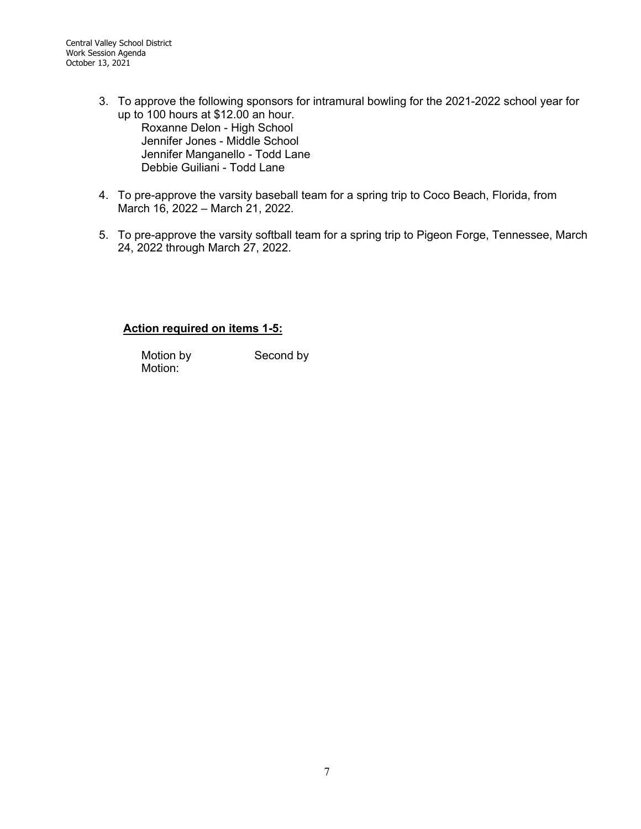- 3. To approve the following sponsors for intramural bowling for the 2021-2022 school year for up to 100 hours at \$12.00 an hour. Roxanne Delon - High School Jennifer Jones - Middle School Jennifer Manganello - Todd Lane Debbie Guiliani - Todd Lane
- 4. To pre-approve the varsity baseball team for a spring trip to Coco Beach, Florida, from March 16, 2022 – March 21, 2022.
- 5. To pre-approve the varsity softball team for a spring trip to Pigeon Forge, Tennessee, March 24, 2022 through March 27, 2022.

### **Action required on items 1-5:**

Motion:

Motion by Second by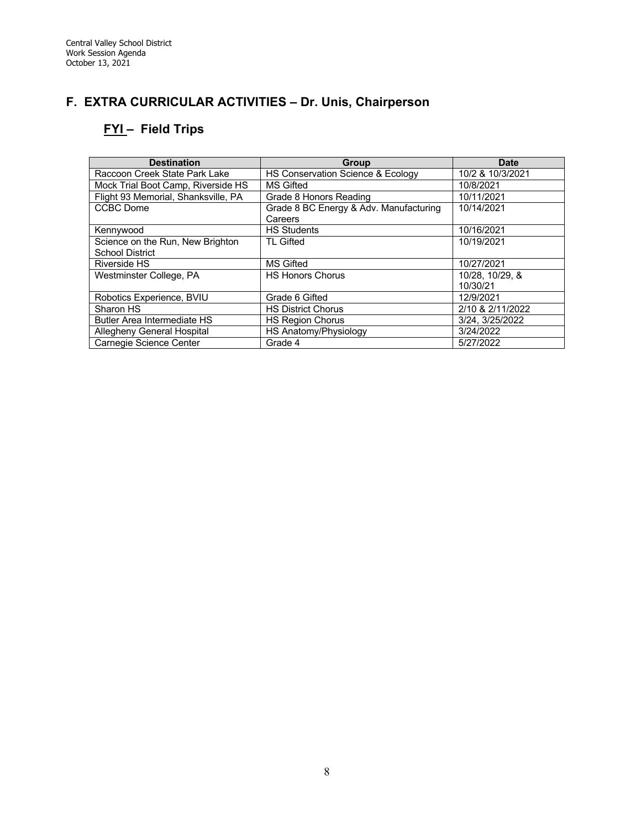# **F. EXTRA CURRICULAR ACTIVITIES – Dr. Unis, Chairperson**

# **FYI – Field Trips**

| <b>Destination</b>                  | Group                                  | <b>Date</b>      |
|-------------------------------------|----------------------------------------|------------------|
| Raccoon Creek State Park Lake       | HS Conservation Science & Ecology      | 10/2 & 10/3/2021 |
| Mock Trial Boot Camp, Riverside HS  | <b>MS Gifted</b>                       | 10/8/2021        |
| Flight 93 Memorial, Shanksville, PA | Grade 8 Honors Reading                 | 10/11/2021       |
| <b>CCBC</b> Dome                    | Grade 8 BC Energy & Adv. Manufacturing | 10/14/2021       |
|                                     | Careers                                |                  |
| Kennywood                           | <b>HS Students</b>                     | 10/16/2021       |
| Science on the Run, New Brighton    | <b>TL Gifted</b>                       | 10/19/2021       |
| School District                     |                                        |                  |
| Riverside HS                        | <b>MS Gifted</b>                       | 10/27/2021       |
| Westminster College, PA             | <b>HS Honors Chorus</b>                | 10/28, 10/29, &  |
|                                     |                                        | 10/30/21         |
| Robotics Experience, BVIU           | Grade 6 Gifted                         | 12/9/2021        |
| Sharon HS                           | <b>HS District Chorus</b>              | 2/10 & 2/11/2022 |
| <b>Butler Area Intermediate HS</b>  | <b>HS Region Chorus</b>                | 3/24, 3/25/2022  |
| Allegheny General Hospital          | HS Anatomy/Physiology                  | 3/24/2022        |
| Carnegie Science Center             | Grade 4                                | 5/27/2022        |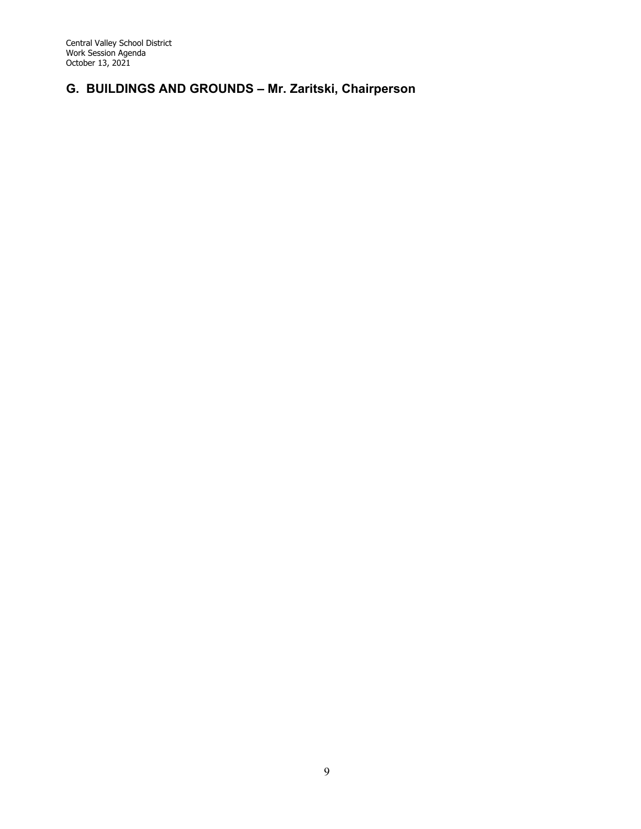# **G. BUILDINGS AND GROUNDS – Mr. Zaritski, Chairperson**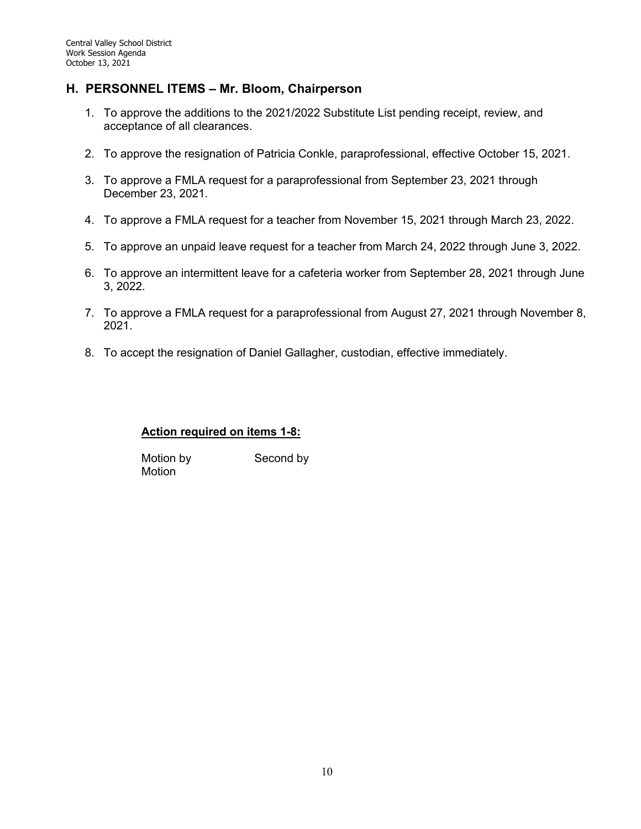### **H. PERSONNEL ITEMS – Mr. Bloom, Chairperson**

- 1. To approve the additions to the 2021/2022 Substitute List pending receipt, review, and acceptance of all clearances.
- 2. To approve the resignation of Patricia Conkle, paraprofessional, effective October 15, 2021.
- 3. To approve a FMLA request for a paraprofessional from September 23, 2021 through December 23, 2021.
- 4. To approve a FMLA request for a teacher from November 15, 2021 through March 23, 2022.
- 5. To approve an unpaid leave request for a teacher from March 24, 2022 through June 3, 2022.
- 6. To approve an intermittent leave for a cafeteria worker from September 28, 2021 through June 3, 2022.
- 7. To approve a FMLA request for a paraprofessional from August 27, 2021 through November 8, 2021.
- 8. To accept the resignation of Daniel Gallagher, custodian, effective immediately.

### **Action required on items 1-8:**

Motion by Second by Motion